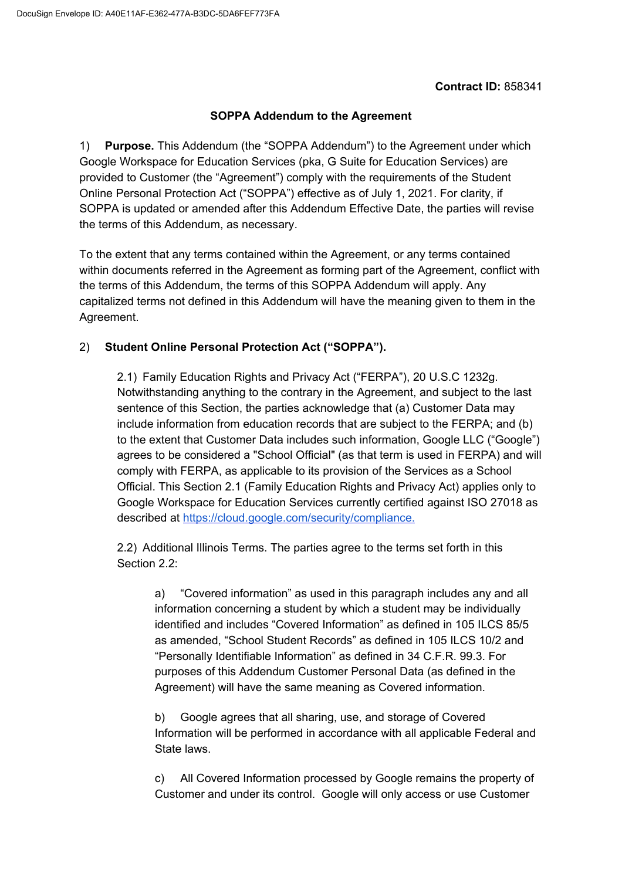## **Contract ID:** 858341

## **SOPPA Addendum to the Agreement**

1) **Purpose.** This Addendum (the "SOPPA Addendum") to the Agreement under which Google Workspace for Education Services (pka, G Suite for Education Services) are provided to Customer (the "Agreement") comply with the requirements of the Student Online Personal Protection Act ("SOPPA") effective as of July 1, 2021. For clarity, if SOPPA is updated or amended after this Addendum Effective Date, the parties will revise the terms of this Addendum, as necessary.

To the extent that any terms contained within the Agreement, or any terms contained within documents referred in the Agreement as forming part of the Agreement, conflict with the terms of this Addendum, the terms of this SOPPA Addendum will apply. Any capitalized terms not defined in this Addendum will have the meaning given to them in the Agreement.

## 2) **Student Online Personal Protection Act ("SOPPA").**

2.1) Family Education Rights and Privacy Act ("FERPA"), 20 U.S.C 1232g. Notwithstanding anything to the contrary in the Agreement, and subject to the last sentence of this Section, the parties acknowledge that (a) Customer Data may include information from education records that are subject to the FERPA; and (b) to the extent that Customer Data includes such information, Google LLC ("Google") agrees to be considered a "School Official" (as that term is used in FERPA) and will comply with FERPA, as applicable to its provision of the Services as a School Official. This Section 2.1 (Family Education Rights and Privacy Act) applies only to Google Workspace for Education Services currently certified against ISO 27018 as described at [https://cloud.google.com/security/compliance.](https://cloud.google.com/security/compliance)

2.2) Additional Illinois Terms. The parties agree to the terms set forth in this Section 2.2:

a) "Covered information" as used in this paragraph includes any and all information concerning a student by which a student may be individually identified and includes "Covered Information" as defined in 105 ILCS 85/5 as amended, "School Student Records" as defined in 105 ILCS 10/2 and "Personally Identifiable Information" as defined in 34 C.F.R. 99.3. For purposes of this Addendum Customer Personal Data (as defined in the Agreement) will have the same meaning as Covered information.

b) Google agrees that all sharing, use, and storage of Covered Information will be performed in accordance with all applicable Federal and State laws.

c) All Covered Information processed by Google remains the property of Customer and under its control. Google will only access or use Customer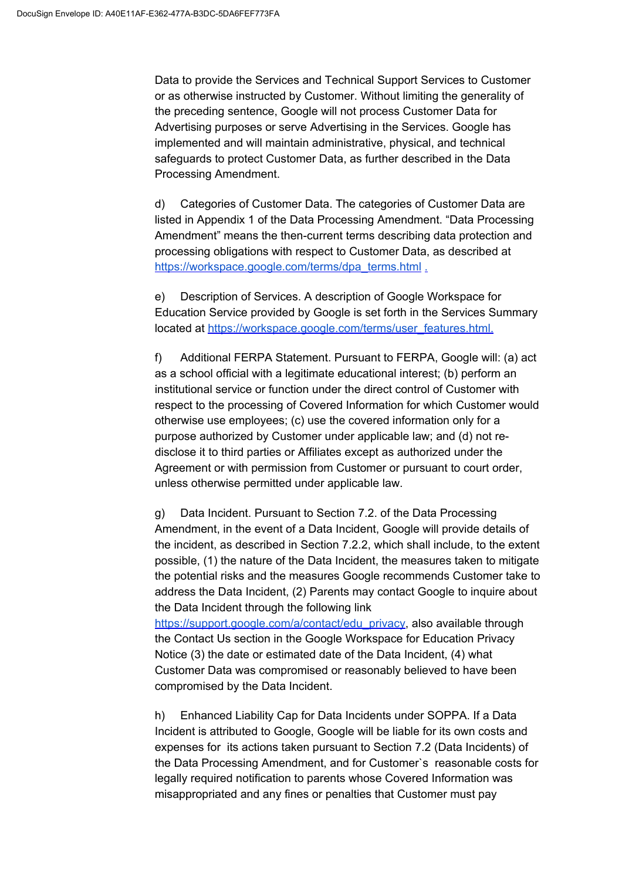Data to provide the Services and Technical Support Services to Customer or as otherwise instructed by Customer. Without limiting the generality of the preceding sentence, Google will not process Customer Data for Advertising purposes or serve Advertising in the Services. Google has implemented and will maintain administrative, physical, and technical safeguards to protect Customer Data, as further described in the Data Processing Amendment.

d) Categories of Customer Data. The categories of Customer Data are listed in Appendix 1 of the Data Processing Amendment. "Data Processing Amendment" means the then-current terms describing data protection and processing obligations with respect to Customer Data, as described at [https://workspace.google.com/terms/dpa\\_terms.html](https://workspace.google.com/terms/dpa_terms.html) [.](https://gsuite.google.com/terms/dpa_terms.html)

e) Description of Services. A description of Google Workspace for Education Service provided by Google is set forth in the Services Summary located at [https://workspace.google.com/terms/user\\_features.html.](https://workspace.google.com/terms/user_features.html)

f) Additional FERPA Statement. Pursuant to FERPA, Google will: (a) act as a school official with a legitimate educational interest; (b) perform an institutional service or function under the direct control of Customer with respect to the processing of Covered Information for which Customer would otherwise use employees; (c) use the covered information only for a purpose authorized by Customer under applicable law; and (d) not redisclose it to third parties or Affiliates except as authorized under the Agreement or with permission from Customer or pursuant to court order, unless otherwise permitted under applicable law.

g) Data Incident. Pursuant to Section 7.2. of the Data Processing Amendment, in the event of a Data Incident, Google will provide details of the incident, as described in Section 7.2.2, which shall include, to the extent possible, (1) the nature of the Data Incident, the measures taken to mitigate the potential risks and the measures Google recommends Customer take to address the Data Incident, (2) Parents may contact Google to inquire about the Data Incident through the following link

[https://support.google.com/a/contact/edu\\_privacy,](https://support.google.com/a/contact/edu_privacy) also available through the Contact Us section in the Google Workspace for Education Privacy Notice (3) the date or estimated date of the Data Incident, (4) what Customer Data was compromised or reasonably believed to have been compromised by the Data Incident.

h) Enhanced Liability Cap for Data Incidents under SOPPA. If a Data Incident is attributed to Google, Google will be liable for its own costs and expenses for its actions taken pursuant to Section 7.2 (Data Incidents) of the Data Processing Amendment, and for Customer`s reasonable costs for legally required notification to parents whose Covered Information was misappropriated and any fines or penalties that Customer must pay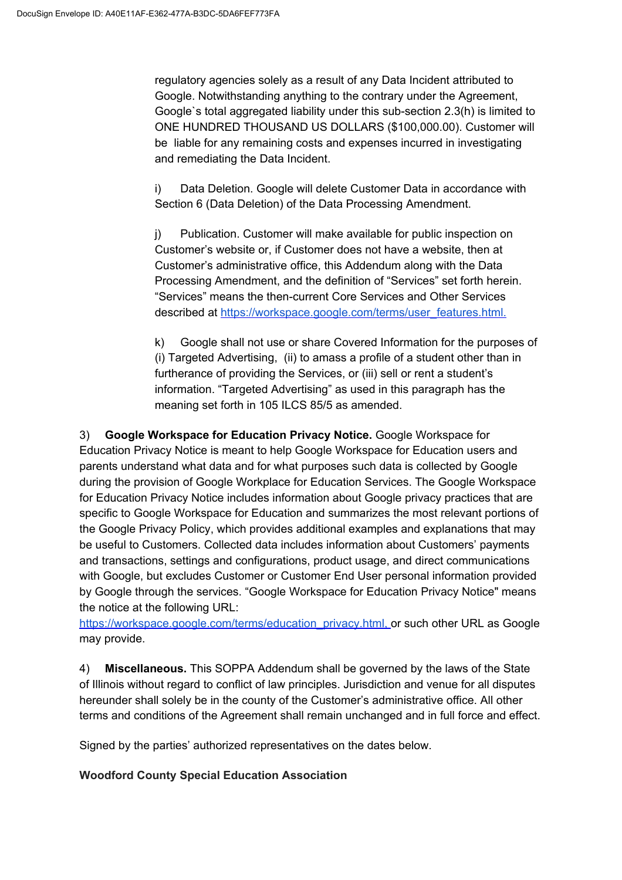regulatory agencies solely as a result of any Data Incident attributed to Google. Notwithstanding anything to the contrary under the Agreement, Google`s total aggregated liability under this sub-section 2.3(h) is limited to ONE HUNDRED THOUSAND US DOLLARS (\$100,000.00). Customer will be liable for any remaining costs and expenses incurred in investigating and remediating the Data Incident.

i) Data Deletion. Google will delete Customer Data in accordance with Section 6 (Data Deletion) of the Data Processing Amendment.

j) Publication. Customer will make available for public inspection on Customer's website or, if Customer does not have a website, then at Customer's administrative office, this Addendum along with the Data Processing Amendment, and the definition of "Services" set forth herein. "Services" means the then-current Core Services and Other Services described at [https://workspace.google.com/terms/user\\_features.html.](https://workspace.google.com/terms/user_features.html)

k) Google shall not use or share Covered Information for the purposes of (i) Targeted Advertising, (ii) to amass a profile of a student other than in furtherance of providing the Services, or (iii) sell or rent a student's information. "Targeted Advertising" as used in this paragraph has the meaning set forth in 105 ILCS 85/5 as amended.

3) **Google Workspace for Education Privacy Notice.** Google Workspace for Education Privacy Notice is meant to help Google Workspace for Education users and parents understand what data and for what purposes such data is collected by Google during the provision of Google Workplace for Education Services. The Google Workspace for Education Privacy Notice includes information about Google privacy practices that are specific to Google Workspace for Education and summarizes the most relevant portions of the Google Privacy Policy, which provides additional examples and explanations that may be useful to Customers. Collected data includes information about Customers' payments and transactions, settings and configurations, product usage, and direct communications with Google, but excludes Customer or Customer End User personal information provided by Google through the services. "Google Workspace for Education Privacy Notice" means the notice at the following URL:

[https://workspace.google.com/terms/education\\_privacy.html](https://workspace.google.com/terms/education_privacy.html)[,](https://workspace.google.com/terms/education_privacy.htmll) or such other URL as Google may provide.

4) **Miscellaneous.** This SOPPA Addendum shall be governed by the laws of the State of Illinois without regard to conflict of law principles. Jurisdiction and venue for all disputes hereunder shall solely be in the county of the Customer's administrative office. All other terms and conditions of the Agreement shall remain unchanged and in full force and effect.

Signed by the parties' authorized representatives on the dates below.

## **Woodford County Special Education Association**